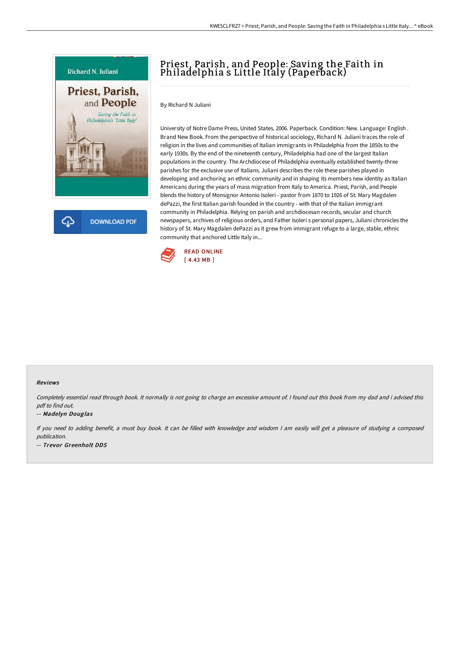

**DOWNLOAD PDF** 

## Priest, Parish, and People: Saving the Faith in Philadelphia s Little Italy (Paperback)

By Richard N Juliani

University of Notre Dame Press, United States, 2006. Paperback. Condition: New. Language: English . Brand New Book. From the perspective of historical sociology, Richard N. Juliani traces the role of religion in the lives and communities of Italian immigrants in Philadelphia from the 1850s to the early 1930s. By the end of the nineteenth century, Philadelphia had one of the largest Italian populations in the country. The Archdiocese of Philadelphia eventually established twenty-three parishes for the exclusive use of Italians. Juliani describes the role these parishes played in developing and anchoring an ethnic community and in shaping its members new identity as Italian Americans during the years of mass migration from Italy to America. Priest, Parish, and People blends the history of Monsignor Antonio Isoleri - pastor from 1870 to 1926 of St. Mary Magdalen dePazzi, the first Italian parish founded in the country - with that of the Italian immigrant community in Philadelphia. Relying on parish and archdiocesan records, secular and church newspapers, archives of religious orders, and Father Isoleri s personal papers, Juliani chronicles the history of St. Mary Magdalen dePazzi as it grew from immigrant refuge to a large, stable, ethnic community that anchored Little Italy in...



## Reviews

Completely essential read through book. It normally is not going to charge an excessive amount of. <sup>I</sup> found out this book from my dad and i advised this pdf to find out.

## -- Madelyn Douglas

If you need to adding benefit, <sup>a</sup> must buy book. It can be filled with knowledge and wisdom <sup>I</sup> am easily will get <sup>a</sup> pleasure of studying <sup>a</sup> composed publication. -- Trevor Greenholt DDS